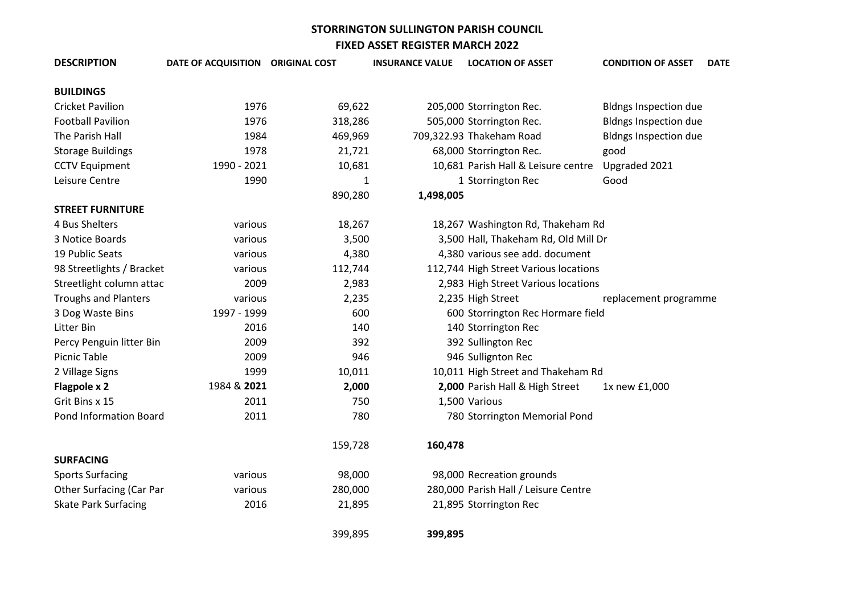| <b>DESCRIPTION</b>              | DATE OF ACQUISITION ORIGINAL COST |         | <b>INSURANCE VALUE</b> | <b>LOCATION OF ASSET</b>              | <b>CONDITION OF ASSET</b>    | <b>DATE</b> |
|---------------------------------|-----------------------------------|---------|------------------------|---------------------------------------|------------------------------|-------------|
| <b>BUILDINGS</b>                |                                   |         |                        |                                       |                              |             |
| <b>Cricket Pavilion</b>         | 1976                              | 69,622  |                        | 205,000 Storrington Rec.              | <b>Bldngs Inspection due</b> |             |
| <b>Football Pavilion</b>        | 1976                              | 318,286 |                        | 505,000 Storrington Rec.              | <b>Bldngs Inspection due</b> |             |
| The Parish Hall                 | 1984                              | 469,969 |                        | 709,322.93 Thakeham Road              | <b>Bldngs Inspection due</b> |             |
| <b>Storage Buildings</b>        | 1978                              | 21,721  |                        | 68,000 Storrington Rec.               | good                         |             |
| <b>CCTV Equipment</b>           | 1990 - 2021                       | 10,681  |                        | 10,681 Parish Hall & Leisure centre   | Upgraded 2021                |             |
| Leisure Centre                  | 1990                              | 1       |                        | 1 Storrington Rec                     | Good                         |             |
|                                 |                                   | 890,280 | 1,498,005              |                                       |                              |             |
| <b>STREET FURNITURE</b>         |                                   |         |                        |                                       |                              |             |
| 4 Bus Shelters                  | various                           | 18,267  |                        | 18,267 Washington Rd, Thakeham Rd     |                              |             |
| 3 Notice Boards                 | various                           | 3,500   |                        | 3,500 Hall, Thakeham Rd, Old Mill Dr  |                              |             |
| 19 Public Seats                 | various                           | 4,380   |                        | 4,380 various see add. document       |                              |             |
| 98 Streetlights / Bracket       | various                           | 112,744 |                        | 112,744 High Street Various locations |                              |             |
| Streetlight column attac        | 2009                              | 2,983   |                        | 2,983 High Street Various locations   |                              |             |
| <b>Troughs and Planters</b>     | various                           | 2,235   |                        | 2,235 High Street                     | replacement programme        |             |
| 3 Dog Waste Bins                | 1997 - 1999                       | 600     |                        | 600 Storrington Rec Hormare field     |                              |             |
| Litter Bin                      | 2016                              | 140     |                        | 140 Storrington Rec                   |                              |             |
| Percy Penguin litter Bin        | 2009                              | 392     |                        | 392 Sullington Rec                    |                              |             |
| <b>Picnic Table</b>             | 2009                              | 946     |                        | 946 Sullignton Rec                    |                              |             |
| 2 Village Signs                 | 1999                              | 10,011  |                        | 10,011 High Street and Thakeham Rd    |                              |             |
| Flagpole x 2                    | 1984 & 2021                       | 2,000   |                        | 2,000 Parish Hall & High Street       | 1x new £1,000                |             |
| Grit Bins x 15                  | 2011                              | 750     |                        | 1,500 Various                         |                              |             |
| Pond Information Board          | 2011                              | 780     |                        | 780 Storrington Memorial Pond         |                              |             |
|                                 |                                   | 159,728 | 160,478                |                                       |                              |             |
| <b>SURFACING</b>                |                                   |         |                        |                                       |                              |             |
| <b>Sports Surfacing</b>         | various                           | 98,000  |                        | 98,000 Recreation grounds             |                              |             |
| <b>Other Surfacing (Car Par</b> | various                           | 280,000 |                        | 280,000 Parish Hall / Leisure Centre  |                              |             |
| <b>Skate Park Surfacing</b>     | 2016                              | 21,895  |                        | 21,895 Storrington Rec                |                              |             |
|                                 |                                   | 399,895 | 399,895                |                                       |                              |             |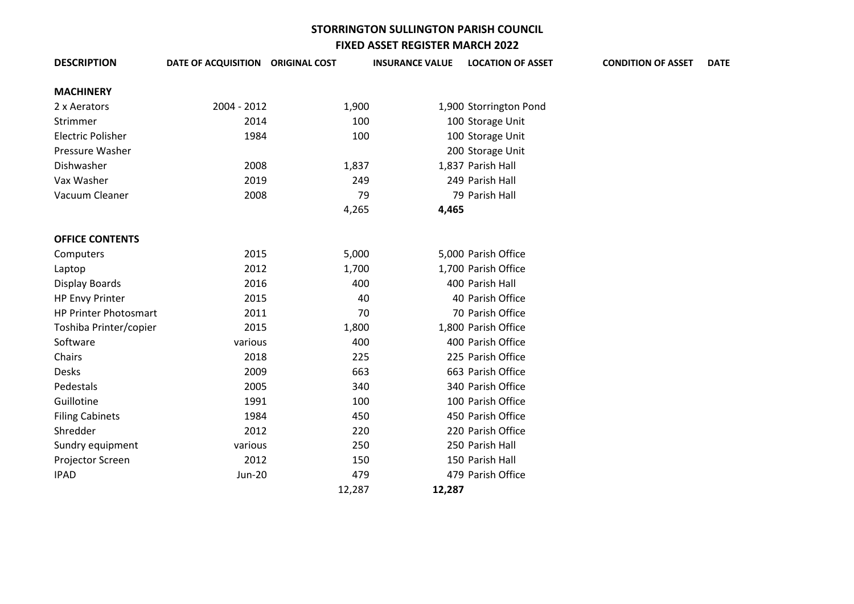| <b>DESCRIPTION</b>           | DATE OF ACQUISITION ORIGINAL COST |        | <b>INSURANCE VALUE</b> | <b>LOCATION OF ASSET</b> | <b>CONDITION OF ASSET</b> | <b>DATE</b> |
|------------------------------|-----------------------------------|--------|------------------------|--------------------------|---------------------------|-------------|
| <b>MACHINERY</b>             |                                   |        |                        |                          |                           |             |
| 2 x Aerators                 | 2004 - 2012                       | 1,900  |                        | 1,900 Storrington Pond   |                           |             |
| Strimmer                     | 2014                              | 100    |                        | 100 Storage Unit         |                           |             |
| <b>Electric Polisher</b>     | 1984                              | 100    |                        | 100 Storage Unit         |                           |             |
| <b>Pressure Washer</b>       |                                   |        |                        | 200 Storage Unit         |                           |             |
| Dishwasher                   | 2008                              | 1,837  |                        | 1,837 Parish Hall        |                           |             |
| Vax Washer                   | 2019                              | 249    |                        | 249 Parish Hall          |                           |             |
| Vacuum Cleaner               | 2008                              | 79     |                        | 79 Parish Hall           |                           |             |
|                              |                                   | 4,265  | 4,465                  |                          |                           |             |
|                              |                                   |        |                        |                          |                           |             |
| <b>OFFICE CONTENTS</b>       |                                   |        |                        |                          |                           |             |
| Computers                    | 2015                              | 5,000  |                        | 5,000 Parish Office      |                           |             |
| Laptop                       | 2012                              | 1,700  |                        | 1,700 Parish Office      |                           |             |
| <b>Display Boards</b>        | 2016                              | 400    |                        | 400 Parish Hall          |                           |             |
| <b>HP Envy Printer</b>       | 2015                              | 40     |                        | 40 Parish Office         |                           |             |
| <b>HP Printer Photosmart</b> | 2011                              | 70     |                        | 70 Parish Office         |                           |             |
| Toshiba Printer/copier       | 2015                              | 1,800  |                        | 1,800 Parish Office      |                           |             |
| Software                     | various                           | 400    |                        | 400 Parish Office        |                           |             |
| Chairs                       | 2018                              | 225    |                        | 225 Parish Office        |                           |             |
| Desks                        | 2009                              | 663    |                        | 663 Parish Office        |                           |             |
| Pedestals                    | 2005                              | 340    |                        | 340 Parish Office        |                           |             |
| Guillotine                   | 1991                              | 100    |                        | 100 Parish Office        |                           |             |
| <b>Filing Cabinets</b>       | 1984                              | 450    |                        | 450 Parish Office        |                           |             |
| Shredder                     | 2012                              | 220    |                        | 220 Parish Office        |                           |             |
| Sundry equipment             | various                           | 250    |                        | 250 Parish Hall          |                           |             |
| Projector Screen             | 2012                              | 150    |                        | 150 Parish Hall          |                           |             |
| <b>IPAD</b>                  | <b>Jun-20</b>                     | 479    |                        | 479 Parish Office        |                           |             |
|                              |                                   | 12,287 | 12,287                 |                          |                           |             |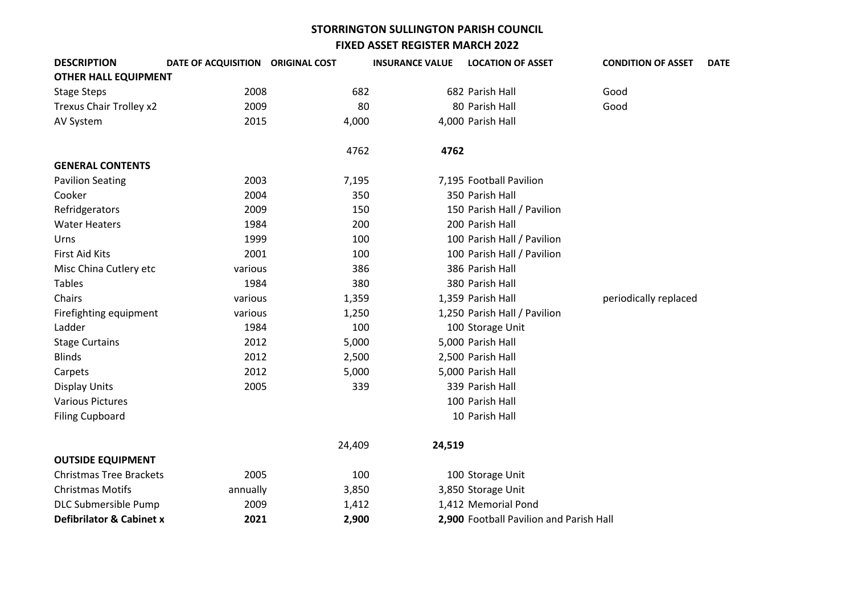| <b>DESCRIPTION</b>                  | DATE OF ACQUISITION ORIGINAL COST |        | <b>INSURANCE VALUE</b> | <b>LOCATION OF ASSET</b>                | <b>CONDITION OF ASSET</b> | <b>DATE</b> |
|-------------------------------------|-----------------------------------|--------|------------------------|-----------------------------------------|---------------------------|-------------|
| <b>OTHER HALL EQUIPMENT</b>         |                                   |        |                        |                                         |                           |             |
| <b>Stage Steps</b>                  | 2008                              | 682    |                        | 682 Parish Hall                         | Good                      |             |
| Trexus Chair Trolley x2             | 2009                              | 80     |                        | 80 Parish Hall                          | Good                      |             |
| AV System                           | 2015                              | 4,000  |                        | 4,000 Parish Hall                       |                           |             |
|                                     |                                   | 4762   | 4762                   |                                         |                           |             |
| <b>GENERAL CONTENTS</b>             |                                   |        |                        |                                         |                           |             |
| <b>Pavilion Seating</b>             | 2003                              | 7,195  |                        | 7,195 Football Pavilion                 |                           |             |
| Cooker                              | 2004                              | 350    |                        | 350 Parish Hall                         |                           |             |
| Refridgerators                      | 2009                              | 150    |                        | 150 Parish Hall / Pavilion              |                           |             |
| <b>Water Heaters</b>                | 1984                              | 200    |                        | 200 Parish Hall                         |                           |             |
| Urns                                | 1999                              | 100    |                        | 100 Parish Hall / Pavilion              |                           |             |
| <b>First Aid Kits</b>               | 2001                              | 100    |                        | 100 Parish Hall / Pavilion              |                           |             |
| Misc China Cutlery etc              | various                           | 386    |                        | 386 Parish Hall                         |                           |             |
| <b>Tables</b>                       | 1984                              | 380    |                        | 380 Parish Hall                         |                           |             |
| Chairs                              | various                           | 1,359  |                        | 1,359 Parish Hall                       | periodically replaced     |             |
| Firefighting equipment              | various                           | 1,250  |                        | 1,250 Parish Hall / Pavilion            |                           |             |
| Ladder                              | 1984                              | 100    |                        | 100 Storage Unit                        |                           |             |
| <b>Stage Curtains</b>               | 2012                              | 5,000  |                        | 5,000 Parish Hall                       |                           |             |
| <b>Blinds</b>                       | 2012                              | 2,500  |                        | 2,500 Parish Hall                       |                           |             |
| Carpets                             | 2012                              | 5,000  |                        | 5,000 Parish Hall                       |                           |             |
| <b>Display Units</b>                | 2005                              | 339    |                        | 339 Parish Hall                         |                           |             |
| <b>Various Pictures</b>             |                                   |        |                        | 100 Parish Hall                         |                           |             |
| <b>Filing Cupboard</b>              |                                   |        |                        | 10 Parish Hall                          |                           |             |
|                                     |                                   | 24,409 | 24,519                 |                                         |                           |             |
| <b>OUTSIDE EQUIPMENT</b>            |                                   |        |                        |                                         |                           |             |
| <b>Christmas Tree Brackets</b>      | 2005                              | 100    |                        | 100 Storage Unit                        |                           |             |
| <b>Christmas Motifs</b>             | annually                          | 3,850  |                        | 3,850 Storage Unit                      |                           |             |
| DLC Submersible Pump                | 2009                              | 1,412  |                        | 1,412 Memorial Pond                     |                           |             |
| <b>Defibrilator &amp; Cabinet x</b> | 2021                              | 2,900  |                        | 2,900 Football Pavilion and Parish Hall |                           |             |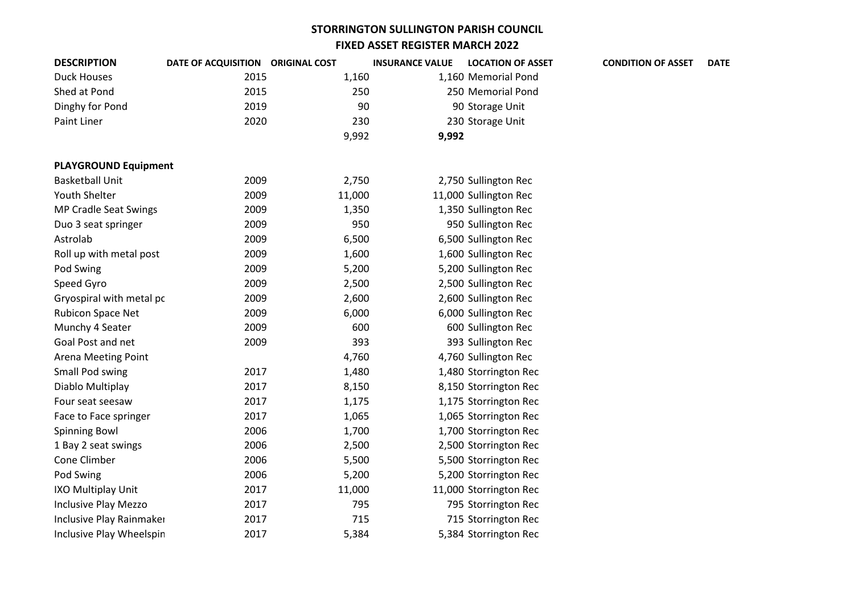| <b>DESCRIPTION</b>           | DATE OF ACQUISITION ORIGINAL COST |        | <b>INSURANCE VALUE</b> | <b>LOCATION OF ASSET</b> | <b>CONDITION OF ASSET</b> | <b>DATE</b> |
|------------------------------|-----------------------------------|--------|------------------------|--------------------------|---------------------------|-------------|
| <b>Duck Houses</b>           | 2015                              | 1,160  |                        | 1,160 Memorial Pond      |                           |             |
| Shed at Pond                 | 2015                              | 250    |                        | 250 Memorial Pond        |                           |             |
| Dinghy for Pond              | 2019                              | 90     |                        | 90 Storage Unit          |                           |             |
| Paint Liner                  | 2020                              | 230    |                        | 230 Storage Unit         |                           |             |
|                              |                                   | 9,992  | 9,992                  |                          |                           |             |
|                              |                                   |        |                        |                          |                           |             |
| <b>PLAYGROUND Equipment</b>  |                                   |        |                        |                          |                           |             |
| <b>Basketball Unit</b>       | 2009                              | 2,750  |                        | 2,750 Sullington Rec     |                           |             |
| Youth Shelter                | 2009                              | 11,000 |                        | 11,000 Sullington Rec    |                           |             |
| <b>MP Cradle Seat Swings</b> | 2009                              | 1,350  |                        | 1,350 Sullington Rec     |                           |             |
| Duo 3 seat springer          | 2009                              | 950    |                        | 950 Sullington Rec       |                           |             |
| Astrolab                     | 2009                              | 6,500  |                        | 6,500 Sullington Rec     |                           |             |
| Roll up with metal post      | 2009                              | 1,600  |                        | 1,600 Sullington Rec     |                           |             |
| Pod Swing                    | 2009                              | 5,200  |                        | 5,200 Sullington Rec     |                           |             |
| Speed Gyro                   | 2009                              | 2,500  |                        | 2,500 Sullington Rec     |                           |             |
| Gryospiral with metal pc     | 2009                              | 2,600  |                        | 2,600 Sullington Rec     |                           |             |
| Rubicon Space Net            | 2009                              | 6,000  |                        | 6,000 Sullington Rec     |                           |             |
| Munchy 4 Seater              | 2009                              | 600    |                        | 600 Sullington Rec       |                           |             |
| Goal Post and net            | 2009                              | 393    |                        | 393 Sullington Rec       |                           |             |
| Arena Meeting Point          |                                   | 4,760  |                        | 4,760 Sullington Rec     |                           |             |
| Small Pod swing              | 2017                              | 1,480  |                        | 1,480 Storrington Rec    |                           |             |
| Diablo Multiplay             | 2017                              | 8,150  |                        | 8,150 Storrington Rec    |                           |             |
| Four seat seesaw             | 2017                              | 1,175  |                        | 1,175 Storrington Rec    |                           |             |
| Face to Face springer        | 2017                              | 1,065  |                        | 1,065 Storrington Rec    |                           |             |
| <b>Spinning Bowl</b>         | 2006                              | 1,700  |                        | 1,700 Storrington Rec    |                           |             |
| 1 Bay 2 seat swings          | 2006                              | 2,500  |                        | 2,500 Storrington Rec    |                           |             |
| Cone Climber                 | 2006                              | 5,500  |                        | 5,500 Storrington Rec    |                           |             |
| Pod Swing                    | 2006                              | 5,200  |                        | 5,200 Storrington Rec    |                           |             |
| IXO Multiplay Unit           | 2017                              | 11,000 |                        | 11,000 Storrington Rec   |                           |             |
| Inclusive Play Mezzo         | 2017                              | 795    |                        | 795 Storrington Rec      |                           |             |
| Inclusive Play Rainmaker     | 2017                              | 715    |                        | 715 Storrington Rec      |                           |             |
| Inclusive Play Wheelspin     | 2017                              | 5,384  |                        | 5,384 Storrington Rec    |                           |             |